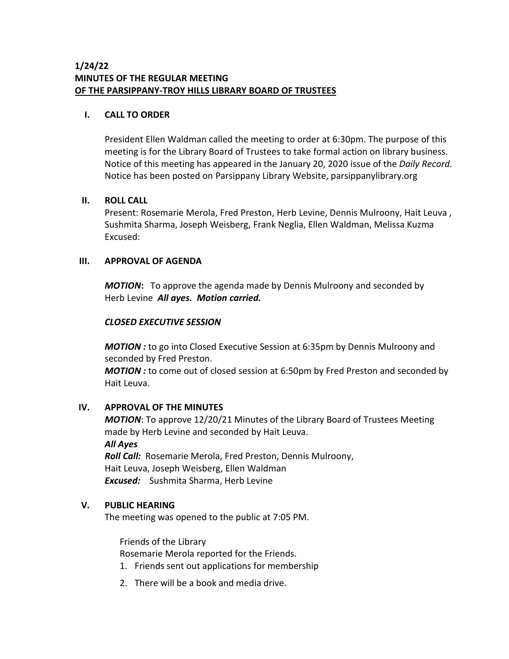# **1/24/22 MINUTES OF THE REGULAR MEETING OF THE PARSIPPANY-TROY HILLS LIBRARY BOARD OF TRUSTEES**

#### **I. CALL TO ORDER**

President Ellen Waldman called the meeting to order at 6:30pm. The purpose of this meeting is for the Library Board of Trustees to take formal action on library business. Notice of this meeting has appeared in the January 20, 2020 issue of the *Daily Record*. Notice has been posted on Parsippany Library Website, parsippanylibrary.org

#### **II. ROLL CALL**

Present: Rosemarie Merola, Fred Preston, Herb Levine, Dennis Mulroony, Hait Leuva , Sushmita Sharma, Joseph Weisberg, Frank Neglia, Ellen Waldman, Melissa Kuzma Excused:

### **III. APPROVAL OF AGENDA**

*MOTION***:** To approve the agenda made by Dennis Mulroony and seconded by Herb Levine *All ayes. Motion carried.*

### *CLOSED EXECUTIVE SESSION*

*MOTION :* to go into Closed Executive Session at 6:35pm by Dennis Mulroony and seconded by Fred Preston.

*MOTION :* to come out of closed session at 6:50pm by Fred Preston and seconded by Hait Leuva.

# **IV. APPROVAL OF THE MINUTES**

*MOTION*: To approve 12/20/21 Minutes of the Library Board of Trustees Meeting made by Herb Levine and seconded by Hait Leuva. *All Ayes Roll Call:* Rosemarie Merola, Fred Preston, Dennis Mulroony, Hait Leuva, Joseph Weisberg, Ellen Waldman *Excused:* Sushmita Sharma, Herb Levine

# **V. PUBLIC HEARING**

The meeting was opened to the public at 7:05 PM.

Friends of the Library Rosemarie Merola reported for the Friends.

- 1. Friends sent out applications for membership
- 2. There will be a book and media drive.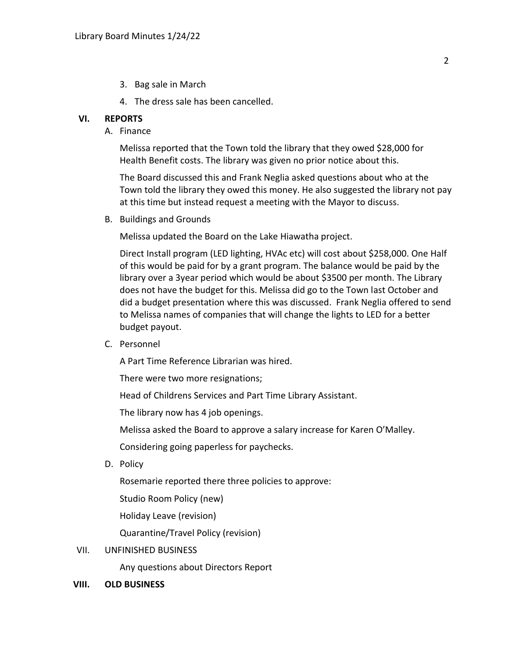- 3. Bag sale in March
- 4. The dress sale has been cancelled.

## **VI. REPORTS**

A. Finance

Melissa reported that the Town told the library that they owed \$28,000 for Health Benefit costs. The library was given no prior notice about this.

The Board discussed this and Frank Neglia asked questions about who at the Town told the library they owed this money. He also suggested the library not pay at this time but instead request a meeting with the Mayor to discuss.

B. Buildings and Grounds

Melissa updated the Board on the Lake Hiawatha project.

Direct Install program (LED lighting, HVAc etc) will cost about \$258,000. One Half of this would be paid for by a grant program. The balance would be paid by the library over a 3year period which would be about \$3500 per month. The Library does not have the budget for this. Melissa did go to the Town last October and did a budget presentation where this was discussed. Frank Neglia offered to send to Melissa names of companies that will change the lights to LED for a better budget payout.

C. Personnel

A Part Time Reference Librarian was hired.

There were two more resignations;

Head of Childrens Services and Part Time Library Assistant.

The library now has 4 job openings.

Melissa asked the Board to approve a salary increase for Karen O'Malley.

Considering going paperless for paychecks.

D. Policy

Rosemarie reported there three policies to approve:

Studio Room Policy (new)

Holiday Leave (revision)

Quarantine/Travel Policy (revision)

#### VII. UNFINISHED BUSINESS

Any questions about Directors Report

#### **VIII. OLD BUSINESS**